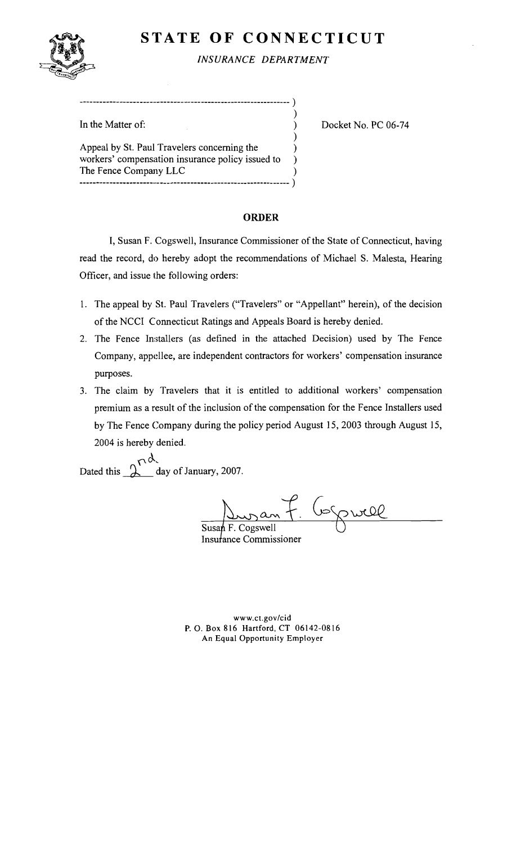# **STATE OF CONNECTICUT**



*INSURANCE DEPARTMENT* 

)

)

In the Matter of:  $\qquad \qquad$  Docket No. PC 06-74

Appeal by St. Paul Travelers concerning the  $)$ workers' compensation insurance policy issued to ) The Fence Company LLC ) --------------------------------------------------------------- )

----------------------.. \_--------------------------------------- )

# ORDER

I, Susan F. Cogswell, Insurance Commissioner of the State of Connecticut, having read the record, do hereby adopt the recommendations of Michael S. Malesta, Hearing Officer, and issue the following orders:

- 1. The appeal by St. Paul Travelers ("Travelers" or "Appellant" herein), of the decision of the NCCI Connecticut Ratings and Appeals Board is hereby denied.
- 2. The Fence Installers (as defined in the attached Decision) used by The Fence Company, appellee, are independent contractors for workers' compensation insurance purposes.
- 3. The claim by Travelers that it is entitled to additional workers' compensation premium as a result of the inclusion of the compensation for the Fence Installers used by The Fence Company during the policy period August 15, 2003 through August 15, 2004 is hereby denied.

 $\mathsf{w}$ Dated this  $\Delta$  day of January, 2007.

F. Gorpwell

Susan F. Cogswell Insurance Commissioner

www.ct.gov/cid P. O. Box 816 Hartford, CT 06142-0816 An Equal Opportunity Employer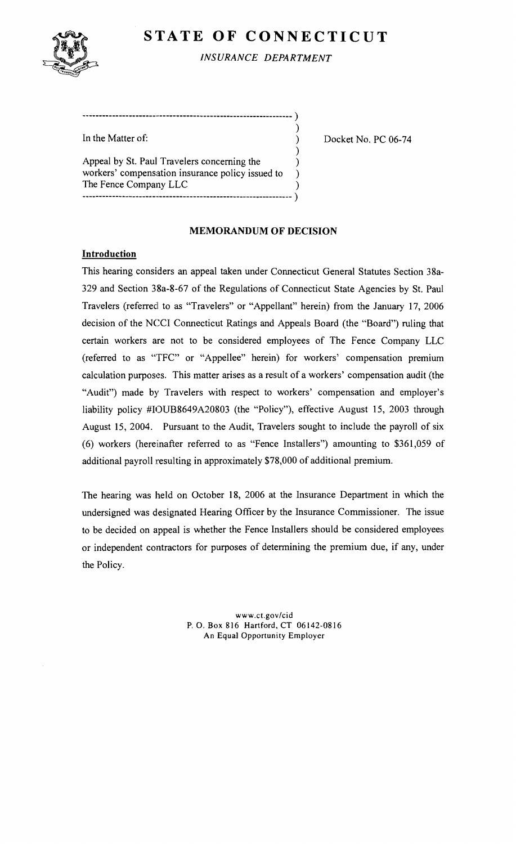# **STATE OF CONNECTICUT**



*INSURANCE DEPARTMENT* 

| In the Matter of:                                                                               |  |
|-------------------------------------------------------------------------------------------------|--|
| Appeal by St. Paul Travelers concerning the<br>workers' compensation insurance policy issued to |  |
| The Fence Company LLC                                                                           |  |

---------------------\_.. \_--------------------------------------- )

Docket No. PC 06-74

## **MEMORANDUM OF DECISION**

## **Introduction**

This hearing considers an appeal taken under Connecticut General Statutes Section 38a-329 and Section 38a-8-67 of the Regulations of Connecticut State Agencies by S1. Paul Travelers (referred to as "Travelers" or "Appellant" herein) from the January 17, 2006 decision of the NCCI Connecticut Ratings and Appeals Board (the "Board") ruling that certain workers are not to be considered employees of The Fence Company LLC (referred to as "TFC" or "Appellee" herein) for workers' compensation premium calculation purposes. This matter arises as a result of a workers' compensation audit (the "Audit") made by Travelers with respect to workers' compensation and employer's liability policy #IOUB8649A20803 (the "Policy"), effective August 15, 2003 through August 15, 2004. Pursuant to the Audit, Travelers sought to include the payroll of six (6) workers (hereinafter referred to as "Fence Installers") amounting to \$361,059 of additional payroll resulting in approximately \$78,000 of additional premium.

The hearing was held on October 18, 2006 at the Insurance Department in which the undersigned was designated Hearing Officer by the Insurance Commissioner. The issue to be decided on appeal is whether the Fence Installers should be considered employees or independent contractors for purposes of detennining the premium due, if any, under the Policy.

> www.ct.gov/cid P.O. Box 816 Hartford, CT 06142-0816 An Equal Opportunity Employer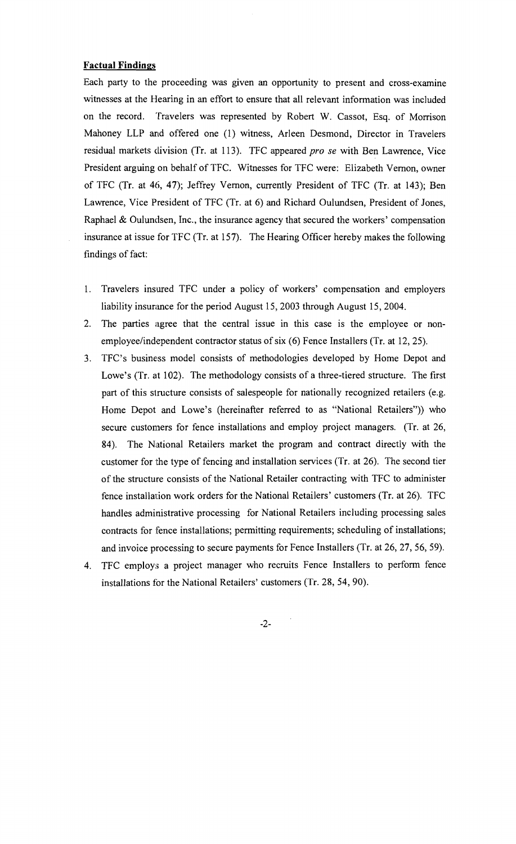#### **Factual Findings**

Each party to the proceeding was given an opportunity to present and cross-examine witnesses at the Hearing in an effort to ensure that all relevant information was included on the record. Travelers was represented by Robert W. Cassot, Esq. of Morrison Mahoney LLP and offered one (l) witness, Arleen Desmond, Director in Travelers residual markets division (Tr. at 113). TFC appeared *pro se* with Ben Lawrence, Vice President arguing on behalf of TFC. Witnesses for TFC were: Elizabeth Vernon, owner of TFC (Tr. at 46, 47); Jeffrey Vernon, currently President of TFC (Tr. at 143); Ben Lawrence, Vice President of TFC (Tr. at 6) and Richard Oulundsen, President of Jones, Raphael & Oulundsen, Inc., the insurance agency that secured the workers' compensation insurance at issue for TFC (Tr. at 157). The Hearing Officer hereby makes the following findings of fact:

- 1. Travelers insured TFC under a policy of workers' compensation and employers liability insurance for the period August 15, 2003 through August 15, 2004.
- 2. The parties agree that the central issue in this case is the employee or nonemployee/independent contractor status of six (6) Fence Installers (Tr. at 12, 25).
- 3. TFC's business model consists of methodologies developed by Home Depot and Lowe's (Tr. at 102). The methodology consists of a three-tiered structure. The first part of this structure consists of salespeople for nationally recognized retailers (e.g. Home Depot and Lowe's (hereinafter referred to as "National Retailers")) who secure customers for fence installations and employ project managers. (Tr. at 26, 84). The National Retailers market the program and contract directly with the customer for the type of fencing and installation services (Tr. at 26). The second tier of the structure consists of the National Retailer contracting with TFC to administer fence installation work orders for the National Retailers' customers (Tr. at 26). TFC handles administrative processing for National Retailers including processing sales contracts for fence installations; permitting requirements; scheduling of installations; and invoice processing to secure payments for Fence Installers (Tr. at 26, 27, 56, 59).
- 4. TFC employs a project manager who recruits Fence Installers to perform fence installations for the National Retailers' customers (Tr. 28, 54, 90).

-2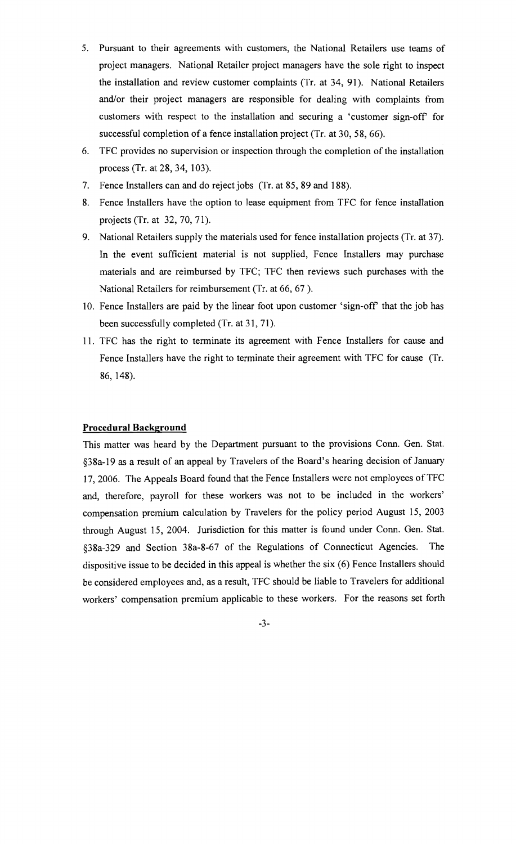- 5. Pursuant to their agreements with customers, the National Retailers use teams of project managers. National Retailer project managers have the sole right to inspect the installation and review customer complaints (Tr. at 34, 91). National Retailers and/or their project managers are responsible for dealing with complaints from customers with respect to the installation and securing a 'customer sign-off for successful completion of a fence installation project (Tr. at 30, 58, 66).
- 6. TFC provides no supervision or inspection through the completion of the installation process (Tr. at 28, 34, 103).
- 7. Fence Installers can and do reject jobs (Tr. at 85, 89 and 188).
- 8. Fence Installers have the option to lease equipment from TFC for fence installation projects (Tr. at 32, 70, 71).
- 9. National Retailers supply the materials used for fence installation projects (Tr. at 37). In the event sufficient material is not supplied, Fence Installers may purchase materials and are reimbursed by TFC; TFC then reviews such purchases with the National Retailers for reimbursement (Tr. at 66, 67 ).
- 10. Fence Installers are paid by the linear foot upon customer 'sign-off' that the job has been successfully completed (Tr. at 31, 71).
- 11. TFC has the right to terminate its agreement with Fence Installers for cause and Fence Installers have the right to terminate their agreement with TFC for cause (Tr. 86, 148).

### **Procedural Background**

This matter was heard by the Department pursuant to the provisions Conn. Gen. Stat. §38a-19 as a result of an appeal by Travelers of the Board's hearing decision of January 17, 2006. The Appeals Board found that the Fence Installers were not employees of TFC and, therefore, payroll for these workers was not to be included in the workers' compensation premium calculation by Travelers for the policy period August 15, 2003 through August 15, 2004. Jurisdiction for this matter is found under Conn. Gen. Stat. §38a-329 and Section 38a-8-67 of the Regulations of Connecticut Agencies. The dispositive issue to be decided in this appeal is whether the six (6) Fence Installers should be considered employees and, as a result, TFC should be liable to Travelers for additional workers' compensation premium applicable to these workers. For the reasons set forth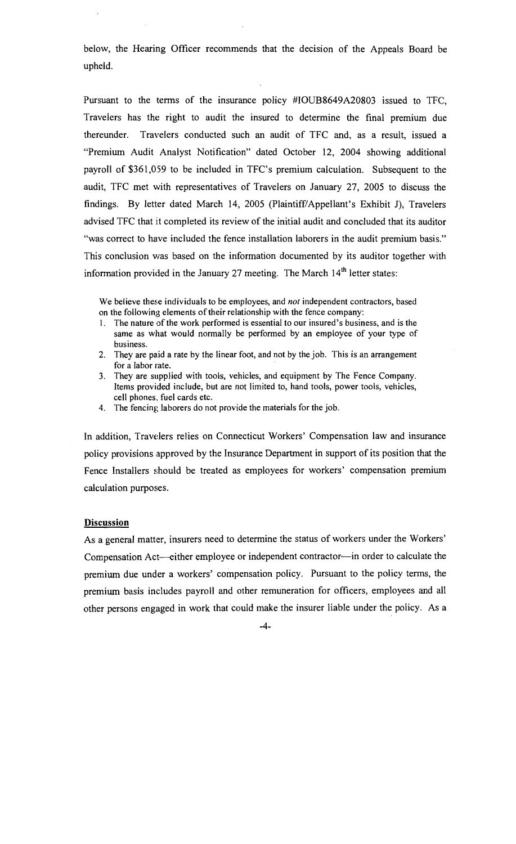below, the Hearing Officer recommends that the decision of the Appeals Board be upheld.

Pursuant to the terms of the insurance policy #IOUB8649A20803 issued to TFC, Travelers has the right to audit the insured to determine the final premium due thereunder. Travelers conducted such an audit of TFC and, as a result, issued a "Premiwn Audit Analyst Notification" dated October 12, 2004 showing additional payroll of \$361,059 to be included in TFC's premium calculation. Subsequent to the audit, TFC met with representatives of Travelers on January 27, 2005 to discuss the findings. By letter dated March 14, 2005 (Plaintiff/Appellant's Exhibit J), Travelers advised TFC that it completed its review of the initial audit and concluded that its auditor "was correct to have included the fence installation laborers in the audit premium basis." This conclusion was based on the information documented by its auditor together with information provided in the January 27 meeting. The March  $14<sup>th</sup>$  letter states:

We believe these individuals to be employees, and *not* independent contractors, based on the following elements of their relationship with the fence company:

- 1. The nature of the work performed is essential to our insured's business, and is the same as what would normally be performed by an employee of your type of business.
- 2. They are paid a rate by the linear foot, and not by the job. This is an arrangement for a labor rate.
- 3. They are supplied with tools, vehicles, and equipment by The Fence Company. Items provided include, but are not limited to, hand tools, power tools, vehicles, cell phones., fuel cards etc.
- 4. The fencing laborers do not provide the materials for the job.

In addition, Travelers relies on Connecticut Workers' Compensation law and insurance policy provisions approved by the Insurance Department in support of its position that the Fence Installers should be treated as employees for workers' compensation premium calculation purposes.

#### **Discussion**

As a general matter, insurers need to determine the status of workers under the Workers' Compensation Act---either employee or independent contractor---in order to calculate the premium due under a workers' compensation policy. Pursuant to the policy terms, the premium basis includes payroll and other remuneration for officers, employees and all other persons engaged in work that could make the insurer liable under the policy. As a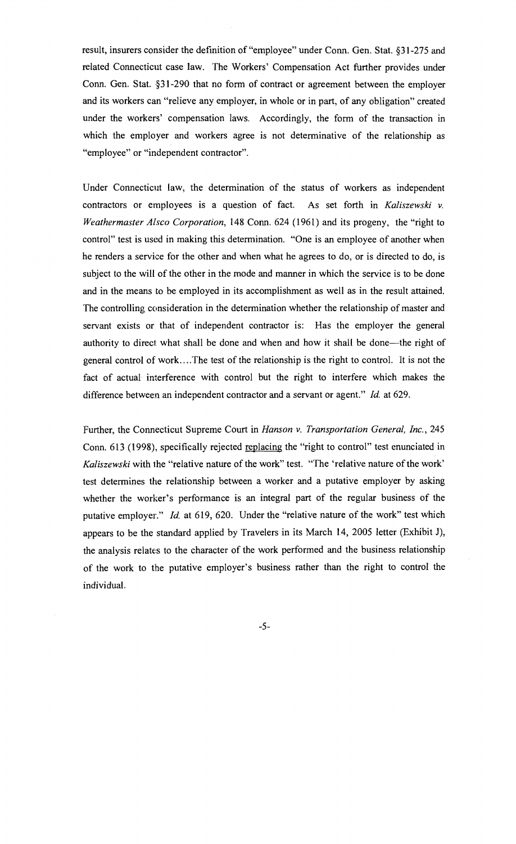result, insurers consider the definition of "employee" under Conn. Gen. Stat. §31-275 and related Connecticut case law. The Workers' Compensation Act further provides under Conn. Gen. Stat. §31-290 that no form of contract or agreement between the employer and its workers can "relieve any employer, in whole or in part, of any obligation" created under the workers' compensation laws. Accordingly, the form of the transaction in which the employer and workers agree is not determinative of the relationship as "employee" or "independent contractor".

Under Connecticut law, the determination of the status of workers as independent contractors or employees is a question of fact. As set forth in *Kaliszewski v. Weathermaster Alsco Corporation,* 148 Conn. 624 (1961) and its progeny, the "right to control" test is used in making this determination. "One is an employee of another when he renders a service for the other and when what he agrees to do, or is directed to do, is subject to the will of the other in the mode and manner in which the service is to be done and in the means to be employed in its accomplishment as well as in the result attained. The controlling consideration in the determination whether the relationship of master and servant exists or that of independent contractor is: Has the employer the general authority to direct what shall be done and when and how it shall be done-the right of general control of work....The test of the relationship is the right to control. It is not the fact of actual interference with control but the right to interfere which makes the difference between an independent contractor and a servant or agent." *Id.* at 629.

Further, the Connecticut Supreme Court in *Hanson v. Transportation General, Inc., 245*  Conn. 613 (1998), specifically rejected replacing the "right to control" test enunciated in *Kaliszewski* with the "relative nature of the work" test. "The 'relative nature of the work' test determines the relationship between a worker and a putative employer by asking whether the worker's performance is an integral part of the regular business of the putative employer." *Id.* at 619, 620. Under the "relative nature of the work" test which appears to be the standard applied by Travelers in its March 14, 2005 letter (Exhibit J), the analysis relates to the character of the work performed and the business relationship of the work to the putative employer's business rather than the right to control the individual.

-5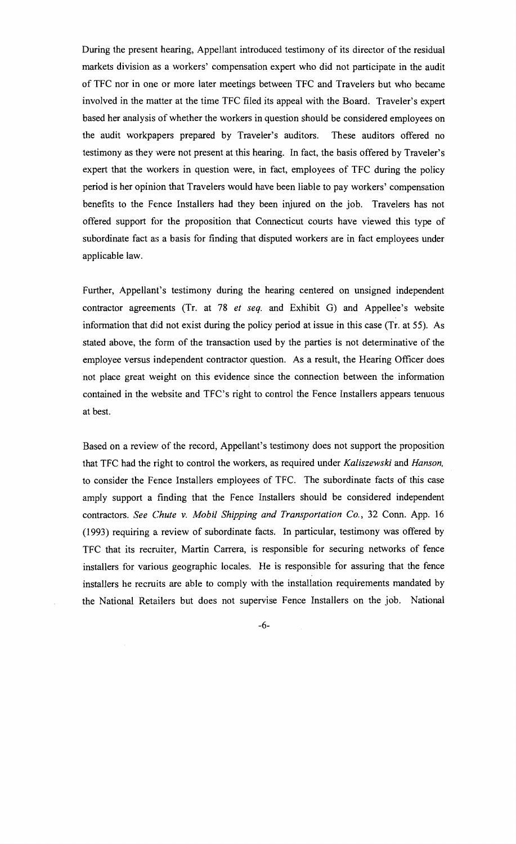During the present hearing, Appellant introduced testimony of its director of the residual markets division as a workers' compensation expert who did not participate in the audit of TFC nor in one or more later meetings between TFC and Travelers but who became involved in the matter at the time TFC filed its appeal with the Board. Traveler's expert based her analysis of whether the workers in question should be considered employees on the audit workpapers prepared by Traveler's auditors. These auditors offered no testimony as they were not present at this hearing. In fact, the basis offered by Traveler's expert that the workers in question were, in fact, employees of TFC during the policy period is her opinion that Travelers would have been liable to pay workers' compensation benefits to the Fence Installers had they been injured on the job. Travelers has not offered support for the proposition that Connecticut courts have viewed this type of subordinate fact as a basis for finding that disputed workers are in fact employees under applicable law.

Further, Appellant's testimony during the hearing centered on unsigned independent contractor agreements (Tr. at 78 *et seq.* and Exhibit G) and Appellee's website information that did not exist during the policy period at issue in this case (Tr. at 55). As stated above, the form of the transaction used by the parties is not determinative of the employee versus independent contractor question. As a result, the Hearing Officer does not place great weight on this evidence since the connection between the information contained in the website and TFC's right to control the Fence Installers appears tenuous at best.

Based on a review of the record, Appellant's testimony does not support the proposition that TFC had the right to control the workers, as required under *Kaliszewski* and *Hanson,*  to consider the Fence Installers employees of TFC. The subordinate facts of this case amply support a finding that the Fence Installers should be considered independent contractors. *See Chute* v. *Mobil Shipping and Transportation Co.,* 32 Conn. App. 16 (1993) requiring a review of subordinate facts. In particular, testimony was offered by TFC that its recruiter, Martin Carrera, is responsible for securing networks of fence installers for various geographic locales. He is responsible for assuring that the fence installers he recruits are able to comply with the installation requirements mandated by the National Retailers but does not supervise Fence Installers on the job. National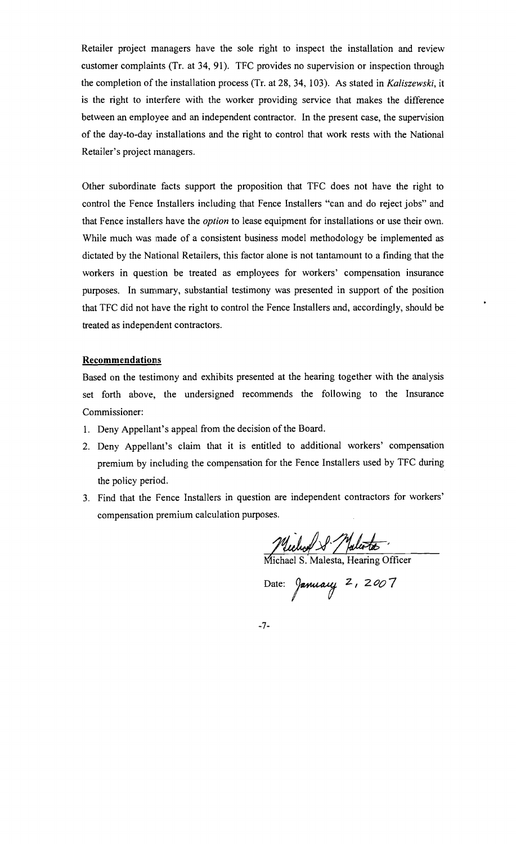Retailer project managers have the sole right to inspect the installation and review customer complaints (Tr. at 34, 91). TFC provides no supervision or inspection through the completion of the installation process (Tr. at 28, 34, 103). As stated in *Kaliszewski,* it is the right to interfere with the worker providing service that makes the difference between an employee and an independent contractor. In the present case, the supervision of the day-to-day installations and the right to control that work rests with the National Retailer's project managers.

Other subordinate facts support the proposition that TFC does not have the right to control the Fence Installers including that Fence Installers "can and do reject jobs" and that Fence installers have the *option* to lease equipment for installations or use their own. While much was made of a consistent business model methodology be implemented as dictated by the National Retailers, this factor alone is not tantamount to a finding that the workers in question be treated as employees for workers' compensation insurance purposes. In summary, substantial testimony was presented in support of the position that TFC did not have the right to control the Fence Installers and, accordingly, should be treated as independent contractors.

#### Recommendations

Based on the testimony and exhibits presented at the hearing together with the analysis set forth above, the undersigned recommends the following to the Insurance Commissioner:

- 1. Deny Appellant's appeal from the decision of the Board.
- 2. Deny Appellant's claim that it is entitled to additional workers' compensation premium by including the compensation for the Fence Installers used by TFC during the policy period.
- 3. Find that the Fence Installers in question are independent contractors for workers' compensation premium calculation purposes.

Wuchof S. Malerta

Date: *January* 2, 2007

-7